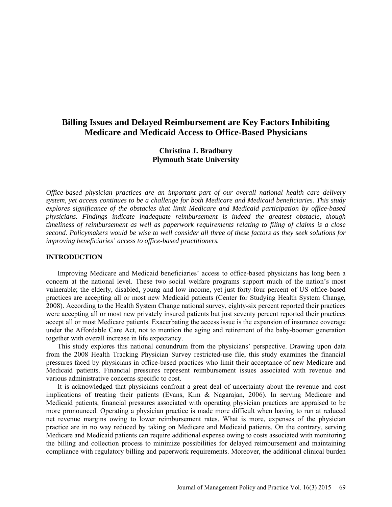# **Billing Issues and Delayed Reimbursement are Key Factors Inhibiting Medicare and Medicaid Access to Office-Based Physicians**

## **Christina J. Bradbury Plymouth State University**

*Office-based physician practices are an important part of our overall national health care delivery system, yet access continues to be a challenge for both Medicare and Medicaid beneficiaries. This study explores significance of the obstacles that limit Medicare and Medicaid participation by office-based physicians. Findings indicate inadequate reimbursement is indeed the greatest obstacle, though timeliness of reimbursement as well as paperwork requirements relating to filing of claims is a close second. Policymakers would be wise to well consider all three of these factors as they seek solutions for improving beneficiaries' access to office-based practitioners.*

## **INTRODUCTION**

Improving Medicare and Medicaid beneficiaries' access to office-based physicians has long been a concern at the national level. These two social welfare programs support much of the nation's most vulnerable; the elderly, disabled, young and low income, yet just forty-four percent of US office-based practices are accepting all or most new Medicaid patients (Center for Studying Health System Change, 2008). According to the Health System Change national survey, eighty-six percent reported their practices were accepting all or most new privately insured patients but just seventy percent reported their practices accept all or most Medicare patients. Exacerbating the access issue is the expansion of insurance coverage under the Affordable Care Act, not to mention the aging and retirement of the baby-boomer generation together with overall increase in life expectancy.

This study explores this national conundrum from the physicians' perspective. Drawing upon data from the 2008 Health Tracking Physician Survey restricted-use file, this study examines the financial pressures faced by physicians in office-based practices who limit their acceptance of new Medicare and Medicaid patients. Financial pressures represent reimbursement issues associated with revenue and various administrative concerns specific to cost.

It is acknowledged that physicians confront a great deal of uncertainty about the revenue and cost implications of treating their patients (Evans, Kim & Nagarajan, 2006). In serving Medicare and Medicaid patients, financial pressures associated with operating physician practices are appraised to be more pronounced. Operating a physician practice is made more difficult when having to run at reduced net revenue margins owing to lower reimbursement rates. What is more, expenses of the physician practice are in no way reduced by taking on Medicare and Medicaid patients. On the contrary, serving Medicare and Medicaid patients can require additional expense owing to costs associated with monitoring the billing and collection process to minimize possibilities for delayed reimbursement and maintaining compliance with regulatory billing and paperwork requirements. Moreover, the additional clinical burden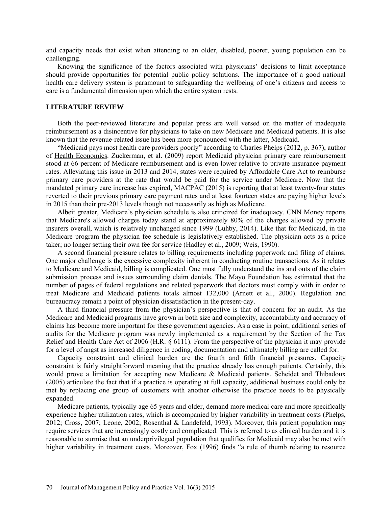and capacity needs that exist when attending to an older, disabled, poorer, young population can be challenging.

Knowing the significance of the factors associated with physicians' decisions to limit acceptance should provide opportunities for potential public policy solutions. The importance of a good national health care delivery system is paramount to safeguarding the wellbeing of one's citizens and access to care is a fundamental dimension upon which the entire system rests.

## **LITERATURE REVIEW**

Both the peer-reviewed literature and popular press are well versed on the matter of inadequate reimbursement as a disincentive for physicians to take on new Medicare and Medicaid patients. It is also known that the revenue-related issue has been more pronounced with the latter, Medicaid.

"Medicaid pays most health care providers poorly" according to Charles Phelps (2012, p. 367), author of Health Economics. Zuckerman, et al. (2009) report Medicaid physician primary care reimbursement stood at 66 percent of Medicare reimbursement and is even lower relative to private insurance payment rates. Alleviating this issue in 2013 and 2014, states were required by Affordable Care Act to reimburse primary care providers at the rate that would be paid for the service under Medicare. Now that the mandated primary care increase has expired, MACPAC (2015) is reporting that at least twenty-four states reverted to their previous primary care payment rates and at least fourteen states are paying higher levels in 2015 than their pre-2013 levels though not necessarily as high as Medicare.

Albeit greater, Medicare's physician schedule is also criticized for inadequacy. CNN Money reports that Medicare's allowed charges today stand at approximately 80% of the charges allowed by private insurers overall, which is relatively unchanged since 1999 (Luhby, 2014). Like that for Medicaid, in the Medicare program the physician fee schedule is legislatively established. The physician acts as a price taker; no longer setting their own fee for service (Hadley et al., 2009; Weis, 1990).

A second financial pressure relates to billing requirements including paperwork and filing of claims. One major challenge is the excessive complexity inherent in conducting routine transactions. As it relates to Medicare and Medicaid, billing is complicated. One must fully understand the ins and outs of the claim submission process and issues surrounding claim denials. The Mayo Foundation has estimated that the number of pages of federal regulations and related paperwork that doctors must comply with in order to treat Medicare and Medicaid patients totals almost 132,000 (Arnett et al., 2000). Regulation and bureaucracy remain a point of physician dissatisfaction in the present-day.

A third financial pressure from the physician's perspective is that of concern for an audit. As the Medicare and Medicaid programs have grown in both size and complexity, accountability and accuracy of claims has become more important for these government agencies. As a case in point, additional series of audits for the Medicare program was newly implemented as a requirement by the Section of the Tax Relief and Health Care Act of 2006 (H.R. § 6111). From the perspective of the physician it may provide for a level of angst as increased diligence in coding, documentation and ultimately billing are called for.

Capacity constraint and clinical burden are the fourth and fifth financial pressures. Capacity constraint is fairly straightforward meaning that the practice already has enough patients. Certainly, this would prove a limitation for accepting new Medicare & Medicaid patients. Scheidet and Thibadoux (2005) articulate the fact that if a practice is operating at full capacity, additional business could only be met by replacing one group of customers with another otherwise the practice needs to be physically expanded.

Medicare patients, typically age 65 years and older, demand more medical care and more specifically experience higher utilization rates, which is accompanied by higher variability in treatment costs (Phelps, 2012; Cross, 2007; Leone, 2002; Rosenthal & Landefeld, 1993). Moreover, this patient population may require services that are increasingly costly and complicated. This is referred to as clinical burden and it is reasonable to surmise that an underprivileged population that qualifies for Medicaid may also be met with higher variability in treatment costs. Moreover, Fox (1996) finds "a rule of thumb relating to resource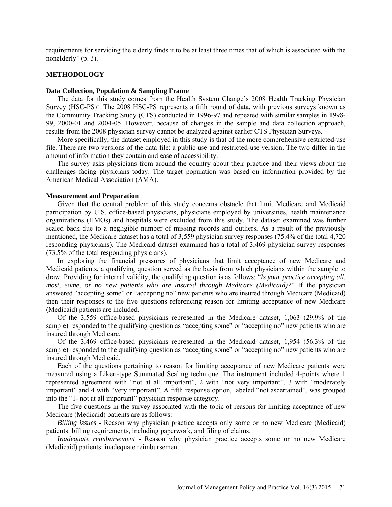requirements for servicing the elderly finds it to be at least three times that of which is associated with the nonelderly" (p. 3).

## **METHODOLOGY**

#### **Data Collection, Population & Sampling Frame**

The data for this study comes from the Health System Change's 2008 Health Tracking Physician Survey  $(HSC-PS)^1$ . The 2008 HSC-PS represents a fifth round of data, with previous surveys known as the Community Tracking Study (CTS) conducted in 1996-97 and repeated with similar samples in 1998- 99, 2000-01 and 2004-05. However, because of changes in the sample and data collection approach, results from the 2008 physician survey cannot be analyzed against earlier CTS Physician Surveys.

More specifically, the dataset employed in this study is that of the more comprehensive restricted-use file. There are two versions of the data file: a public-use and restricted-use version. The two differ in the amount of information they contain and ease of accessibility.

The survey asks physicians from around the country about their practice and their views about the challenges facing physicians today. The target population was based on information provided by the American Medical Association (AMA).

#### **Measurement and Preparation**

Given that the central problem of this study concerns obstacle that limit Medicare and Medicaid participation by U.S. office-based physicians, physicians employed by universities, health maintenance organizations (HMOs) and hospitals were excluded from this study. The dataset examined was further scaled back due to a negligible number of missing records and outliers. As a result of the previously mentioned, the Medicare dataset has a total of 3,559 physician survey responses (75.4% of the total 4,720 responding physicians). The Medicaid dataset examined has a total of 3,469 physician survey responses (73.5% of the total responding physicians).

In exploring the financial pressures of physicians that limit acceptance of new Medicare and Medicaid patients, a qualifying question served as the basis from which physicians within the sample to draw. Providing for internal validity, the qualifying question is as follows: "*Is your practice accepting all, most, some, or no new patients who are insured through Medicare (Medicaid)?*" If the physician answered "accepting some" or "accepting no" new patients who are insured through Medicare (Medicaid) then their responses to the five questions referencing reason for limiting acceptance of new Medicare (Medicaid) patients are included.

Of the 3,559 office-based physicians represented in the Medicare dataset, 1,063 (29.9% of the sample) responded to the qualifying question as "accepting some" or "accepting no" new patients who are insured through Medicare.

Of the 3,469 office-based physicians represented in the Medicaid dataset, 1,954 (56.3% of the sample) responded to the qualifying question as "accepting some" or "accepting no" new patients who are insured through Medicaid.

Each of the questions pertaining to reason for limiting acceptance of new Medicare patients were measured using a Likert-type Summated Scaling technique. The instrument included 4-points where 1 represented agreement with "not at all important", 2 with "not very important", 3 with "moderately important" and 4 with "very important". A fifth response option, labeled "not ascertained", was grouped into the "1- not at all important" physician response category.

The five questions in the survey associated with the topic of reasons for limiting acceptance of new Medicare (Medicaid) patients are as follows:

*Billing issues* **-** Reason why physician practice accepts only some or no new Medicare (Medicaid) patients: billing requirements, including paperwork, and filing of claims.

*Inadequate reimbursement* - Reason why physician practice accepts some or no new Medicare (Medicaid) patients: inadequate reimbursement.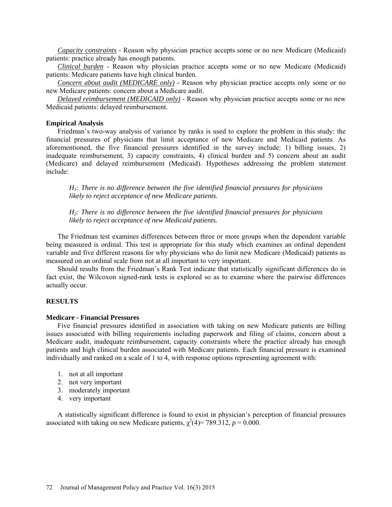*Capacity constraints* - Reason why physician practice accepts some or no new Medicare (Medicaid) patients: practice already has enough patients.

*Clinical burden* - Reason why physician practice accepts some or no new Medicare (Medicaid) patients: Medicare patients have high clinical burden.

*Concern about audit (MEDICARE only)* - Reason why physician practice accepts only some or no new Medicare patients: concern about a Medicare audit.

*Delayed reimbursement (MEDICAID only)* - Reason why physician practice accepts some or no new Medicaid patients: delayed reimbursement.

## **Empirical Analysis**

Friedman's two-way analysis of variance by ranks is used to explore the problem in this study: the financial pressures of physicians that limit acceptance of new Medicare and Medicaid patients. As aforementioned, the five financial pressures identified in the survey include: 1) billing issues, 2) inadequate reimbursement, 3) capacity constraints, 4) clinical burden and 5) concern about an audit (Medicare) and delayed reimbursement (Medicaid). Hypotheses addressing the problem statement include:

*H1: There is no difference between the five identified financial pressures for physicians likely to reject acceptance of new Medicare patients.* 

*H2: There is no difference between the five identified financial pressures for physicians likely to reject acceptance of new Medicaid patients.* 

The Friedman test examines differences between three or more groups when the dependent variable being measured is ordinal. This test is appropriate for this study which examines an ordinal dependent variable and five different reasons for why physicians who do limit new Medicare (Medicaid) patients as measured on an ordinal scale from not at all important to very important.

Should results from the Friedman's Rank Test indicate that statistically significant differences do in fact exist, the Wilcoxon signed-rank tests is explored so as to examine where the pairwise differences actually occur.

## **RESULTS**

#### **Medicare - Financial Pressures**

Five financial pressures identified in association with taking on new Medicare patients are billing issues associated with billing requirements including paperwork and filing of claims, concern about a Medicare audit, inadequate reimbursement, capacity constraints where the practice already has enough patients and high clinical burden associated with Medicare patients. Each financial pressure is examined individually and ranked on a scale of 1 to 4, with response options representing agreement with:

- 1. not at all important
- 2. not very important
- 3. moderately important
- 4. very important

A statistically significant difference is found to exist in physician's perception of financial pressures associated with taking on new Medicare patients,  $\chi^2(4)$ = 789.312, *p* = 0.000.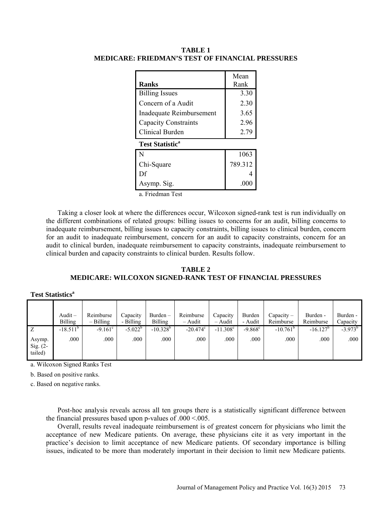|                                   | Mean    |  |  |  |  |  |  |
|-----------------------------------|---------|--|--|--|--|--|--|
| <b>Ranks</b>                      | Rank    |  |  |  |  |  |  |
| <b>Billing Issues</b>             | 3.30    |  |  |  |  |  |  |
| Concern of a Audit                | 2.30    |  |  |  |  |  |  |
| Inadequate Reimbursement          | 3.65    |  |  |  |  |  |  |
| <b>Capacity Constraints</b>       | 2.96    |  |  |  |  |  |  |
| Clinical Burden                   | 2.79    |  |  |  |  |  |  |
| <b>Test Statistic<sup>a</sup></b> |         |  |  |  |  |  |  |
| N                                 | 1063    |  |  |  |  |  |  |
| Chi-Square                        | 789.312 |  |  |  |  |  |  |
| Df                                |         |  |  |  |  |  |  |
| Asymp. Sig.                       | .000    |  |  |  |  |  |  |

**TABLE 1 MEDICARE: FRIEDMAN'S TEST OF FINANCIAL PRESSURES**

a. Friedman Test

Taking a closer look at where the differences occur, Wilcoxon signed-rank test is run individually on the different combinations of related groups: billing issues to concerns for an audit, billing concerns to inadequate reimbursement, billing issues to capacity constraints, billing issues to clinical burden, concern for an audit to inadequate reimbursement, concern for an audit to capacity constraints, concern for an audit to clinical burden, inadequate reimbursement to capacity constraints, inadequate reimbursement to clinical burden and capacity constraints to clinical burden. Results follow.

## **TABLE 2 MEDICARE: WILCOXON SIGNED-RANK TEST OF FINANCIAL PRESSURES**

|  | <b>Test Statistics<sup>a</sup></b> |
|--|------------------------------------|
|--|------------------------------------|

|                                 | Audit $-$<br><b>Billing</b> | Reimburse<br>$-$ Billing | Capacity<br>- Billing | Burden-<br>Billing | Reimburse<br>$-$ Audit | Capacity<br>$-$ Audit  | Burden<br>- Audit | $Capacity -$<br>Reimburse | Burden -<br>Reimburse | Burden -<br>Capacity |
|---------------------------------|-----------------------------|--------------------------|-----------------------|--------------------|------------------------|------------------------|-------------------|---------------------------|-----------------------|----------------------|
| Ζ                               | $-18.511^{b}$               | $-9.161^{\circ}$         | $-5.022^b$            | $-10.328^{b}$      | $-20.474^{\circ}$      | $-11.308$ <sup>c</sup> | $-9.868^c$        | $-10.761^{\circ}$         | $-16.127^b$           | $-3.973^{b}$         |
| Asymp.<br>Sig. $(2-$<br>tailed) | .000                        | .000                     | .000                  | .000               | .000                   | .000                   | .000              | .000                      | .000                  | .000                 |

a. Wilcoxon Signed Ranks Test

b. Based on positive ranks.

c. Based on negative ranks.

Post-hoc analysis reveals across all ten groups there is a statistically significant difference between the financial pressures based upon p-values of .000 <.005.

Overall, results reveal inadequate reimbursement is of greatest concern for physicians who limit the acceptance of new Medicare patients. On average, these physicians cite it as very important in the practice's decision to limit acceptance of new Medicare patients. Of secondary importance is billing issues, indicated to be more than moderately important in their decision to limit new Medicare patients.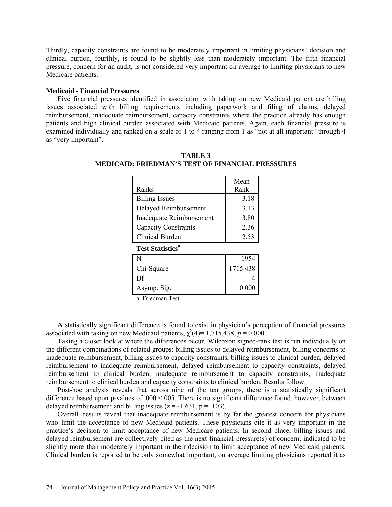Thirdly, capacity constraints are found to be moderately important in limiting physicians' decision and clinical burden, fourthly, is found to be slightly less than moderately important. The fifth financial pressure, concern for an audit, is not considered very important on average to limiting physicians to new Medicare patients.

## **Medicaid - Financial Pressures**

Five financial pressures identified in association with taking on new Medicaid patient are billing issues associated with billing requirements including paperwork and filing of claims, delayed reimbursement, inadequate reimbursement, capacity constraints where the practice already has enough patients and high clinical burden associated with Medicaid patients. Again, each financial pressure is examined individually and ranked on a scale of 1 to 4 ranging from 1 as "not at all important" through 4 as "very important".

|                                    | Mean     |  |  |  |  |  |  |
|------------------------------------|----------|--|--|--|--|--|--|
| Ranks                              | Rank     |  |  |  |  |  |  |
| <b>Billing Issues</b>              | 3.18     |  |  |  |  |  |  |
| Delayed Reimbursement              | 3.13     |  |  |  |  |  |  |
| Inadequate Reimbursement           | 3.80     |  |  |  |  |  |  |
| Capacity Constraints               | 2.36     |  |  |  |  |  |  |
| <b>Clinical Burden</b>             | 2.53     |  |  |  |  |  |  |
| <b>Test Statistics<sup>a</sup></b> |          |  |  |  |  |  |  |
| N                                  | 1954     |  |  |  |  |  |  |
| Chi-Square                         | 1715.438 |  |  |  |  |  |  |
| Df                                 |          |  |  |  |  |  |  |
| Asymp. Sig.                        | 0.00     |  |  |  |  |  |  |

**TABLE 3 MEDICAID: FRIEDMAN'S TEST OF FINANCIAL PRESSURES**

a. Friedman Test

A statistically significant difference is found to exist in physician's perception of financial pressures associated with taking on new Medicaid patients,  $\chi^2(4)=1,715.438, p=0.000$ .

Taking a closer look at where the differences occur, Wilcoxon signed-rank test is run individually on the different combinations of related groups: billing issues to delayed reimbursement, billing concerns to inadequate reimbursement, billing issues to capacity constraints, billing issues to clinical burden, delayed reimbursement to inadequate reimbursement, delayed reimbursement to capacity constraints, delayed reimbursement to clinical burden, inadequate reimbursement to capacity constraints, inadequate reimbursement to clinical burden and capacity constraints to clinical burden. Results follow.

Post-hoc analysis reveals that across nine of the ten groups, there is a statistically significant difference based upon p-values of .000 <.005. There is no significant difference found, however, between delayed reimbursement and billing issues  $(z = -1.631, p = .103)$ .

Overall, results reveal that inadequate reimbursement is by far the greatest concern for physicians who limit the acceptance of new Medicaid patients. These physicians cite it as very important in the practice's decision to limit acceptance of new Medicare patients. In second place, billing issues and delayed reimbursement are collectively cited as the next financial pressure(s) of concern; indicated to be slightly more than moderately important in their decision to limit acceptance of new Medicaid patients. Clinical burden is reported to be only somewhat important, on average limiting physicians reported it as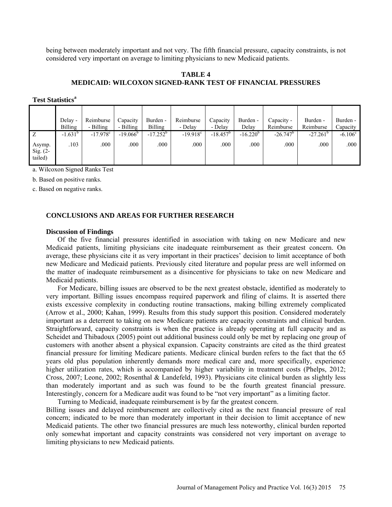being between moderately important and not very. The fifth financial pressure, capacity constraints, is not considered very important on average to limiting physicians to new Medicaid patients.

## **TABLE 4 MEDICAID: WILCOXON SIGNED-RANK TEST OF FINANCIAL PRESSURES**

|                                 | Delay -        | Reimburse              | Capacity          | Burden -       | Reimburse         | Capacity    | Burden -      | Capacity -  | Burden -          | Burden -         |
|---------------------------------|----------------|------------------------|-------------------|----------------|-------------------|-------------|---------------|-------------|-------------------|------------------|
|                                 | <b>Billing</b> | - Billing              | - Billing         | <b>Billing</b> | - Delay           | - Delay     | Delay         | Reimburse   | Reimburse         | Capacity         |
| Z                               | $-1.631^b$     | $-17.978$ <sup>c</sup> | $-19.066^{\circ}$ | $-17.252^b$    | $-19.918^{\circ}$ | $-18.457^b$ | $-16.220^{b}$ | $-26.747^b$ | $-27.261^{\circ}$ | $-6.106^{\circ}$ |
| Asymp.<br>Sig. $(2-$<br>tailed) | .103           | .000                   | .000              | .000           | .000              | .000        | .000          | .000        | .000              | .000             |

**Test Statistics<sup>a</sup>** 

a. Wilcoxon Signed Ranks Test

b. Based on positive ranks.

c. Based on negative ranks.

## **CONCLUSIONS AND AREAS FOR FURTHER RESEARCH**

### **Discussion of Findings**

Of the five financial pressures identified in association with taking on new Medicare and new Medicaid patients, limiting physicians cite inadequate reimbursement as their greatest concern. On average, these physicians cite it as very important in their practices' decision to limit acceptance of both new Medicare and Medicaid patients. Previously cited literature and popular press are well informed on the matter of inadequate reimbursement as a disincentive for physicians to take on new Medicare and Medicaid patients.

For Medicare, billing issues are observed to be the next greatest obstacle, identified as moderately to very important. Billing issues encompass required paperwork and filing of claims. It is asserted there exists excessive complexity in conducting routine transactions, making billing extremely complicated (Arrow et al., 2000; Kahan, 1999). Results from this study support this position. Considered moderately important as a deterrent to taking on new Medicare patients are capacity constraints and clinical burden. Straightforward, capacity constraints is when the practice is already operating at full capacity and as Scheidet and Thibadoux (2005) point out additional business could only be met by replacing one group of customers with another absent a physical expansion. Capacity constraints are cited as the third greatest financial pressure for limiting Medicare patients. Medicare clinical burden refers to the fact that the 65 years old plus population inherently demands more medical care and, more specifically, experience higher utilization rates, which is accompanied by higher variability in treatment costs (Phelps, 2012; Cross, 2007; Leone, 2002; Rosenthal & Landefeld, 1993). Physicians cite clinical burden as slightly less than moderately important and as such was found to be the fourth greatest financial pressure. Interestingly, concern for a Medicare audit was found to be "not very important" as a limiting factor.

Turning to Medicaid, inadequate reimbursement is by far the greatest concern.

Billing issues and delayed reimbursement are collectively cited as the next financial pressure of real concern; indicated to be more than moderately important in their decision to limit acceptance of new Medicaid patients. The other two financial pressures are much less noteworthy, clinical burden reported only somewhat important and capacity constraints was considered not very important on average to limiting physicians to new Medicaid patients.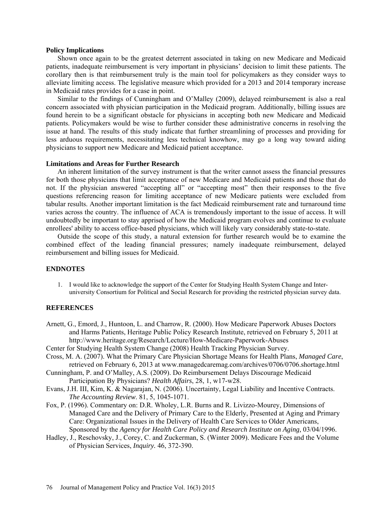## **Policy Implications**

Shown once again to be the greatest deterrent associated in taking on new Medicare and Medicaid patients, inadequate reimbursement is very important in physicians' decision to limit these patients. The corollary then is that reimbursement truly is the main tool for policymakers as they consider ways to alleviate limiting access. The legislative measure which provided for a 2013 and 2014 temporary increase in Medicaid rates provides for a case in point.

Similar to the findings of Cunningham and O'Malley (2009), delayed reimbursement is also a real concern associated with physician participation in the Medicaid program. Additionally, billing issues are found herein to be a significant obstacle for physicians in accepting both new Medicare and Medicaid patients. Policymakers would be wise to further consider these administrative concerns in resolving the issue at hand. The results of this study indicate that further streamlining of processes and providing for less arduous requirements, necessitating less technical knowhow, may go a long way toward aiding physicians to support new Medicare and Medicaid patient acceptance.

#### **Limitations and Areas for Further Research**

An inherent limitation of the survey instrument is that the writer cannot assess the financial pressures for both those physicians that limit acceptance of new Medicare and Medicaid patients and those that do not. If the physician answered "accepting all" or "accepting most" then their responses to the five questions referencing reason for limiting acceptance of new Medicare patients were excluded from tabular results. Another important limitation is the fact Medicaid reimbursement rate and turnaround time varies across the country. The influence of ACA is tremendously important to the issue of access. It will undoubtedly be important to stay apprised of how the Medicaid program evolves and continue to evaluate enrollees' ability to access office-based physicians, which will likely vary considerably state-to-state.

Outside the scope of this study, a natural extension for further research would be to examine the combined effect of the leading financial pressures; namely inadequate reimbursement, delayed reimbursement and billing issues for Medicaid.

### **ENDNOTES**

1. I would like to acknowledge the support of the Center for Studying Health System Change and Interuniversity Consortium for Political and Social Research for providing the restricted physician survey data.

#### **REFERENCES**

- Arnett, G., Emord, J., Huntoon, L. and Charrow, R. (2000). How Medicare Paperwork Abuses Doctors and Harms Patients, Heritage Public Policy Research Institute, retrieved on February 5, 2011 at <http://www.heritage.org/Research/Lecture/How-Medicare-Paperwork-Abuses>
- Center for Studying Health System Change (2008) Health Tracking Physician Survey.
- Cross, M. A. (2007). What the Primary Care Physician Shortage Means for Health Plans, *Managed Care*, retrieved on February 6, 2013 at [www.managedcaremag.com/archives/0706/0706.shortage.html](http://www.managedcaremag.com/archives/0706/0706.shortage.html)
- Cunningham, P. and O'Malley, A.S. (2009). Do Reimbursement Delays Discourage Medicaid Participation By Physicians? *Health Affairs*, 28, 1, w17-w28.
- Evans, J.H. III, Kim, K. & Nagarajan, N. (2006). Uncertainty, Legal Liability and Incentive Contracts. *The Accounting Review*. 81, 5, 1045-1071.
- Fox, P. (1996). Commentary on: D.R. Wholey, L.R. Burns and R. Livizzo-Mourey, Dimensions of Managed Care and the Delivery of Primary Care to the Elderly, Presented at Aging and Primary Care: Organizational Issues in the Delivery of Health Care Services to Older Americans, Sponsored by the *Agency for Health Care Policy and Research Institute on Aging,* 03/04/1996.
- Hadley, J., Reschovsky, J., Corey, C. and Zuckerman, S. (Winter 2009). Medicare Fees and the Volume of Physician Services, *Inquiry.* 46, 372-390.